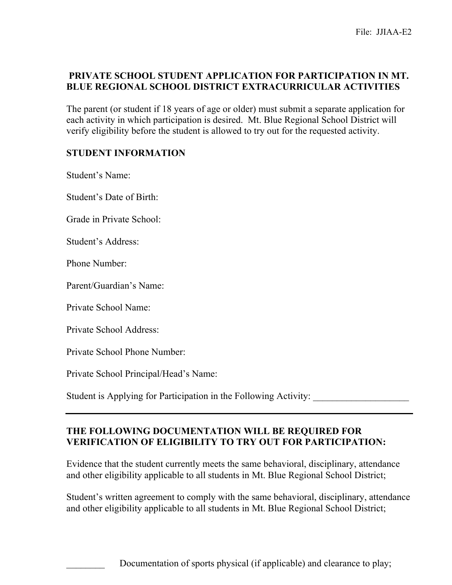## **PRIVATE SCHOOL STUDENT APPLICATION FOR PARTICIPATION IN MT. BLUE REGIONAL SCHOOL DISTRICT EXTRACURRICULAR ACTIVITIES**

The parent (or student if 18 years of age or older) must submit a separate application for each activity in which participation is desired. Mt. Blue Regional School District will verify eligibility before the student is allowed to try out for the requested activity.

#### **STUDENT INFORMATION**

Student's Name:

Student's Date of Birth:

Grade in Private School:

Student's Address:

Phone Number:

Parent/Guardian's Name:

Private School Name:

Private School Address:

Private School Phone Number:

Private School Principal/Head's Name:

Student is Applying for Participation in the Following Activity:

#### **THE FOLLOWING DOCUMENTATION WILL BE REQUIRED FOR VERIFICATION OF ELIGIBILITY TO TRY OUT FOR PARTICIPATION:**

Evidence that the student currently meets the same behavioral, disciplinary, attendance and other eligibility applicable to all students in Mt. Blue Regional School District;

Student's written agreement to comply with the same behavioral, disciplinary, attendance and other eligibility applicable to all students in Mt. Blue Regional School District;